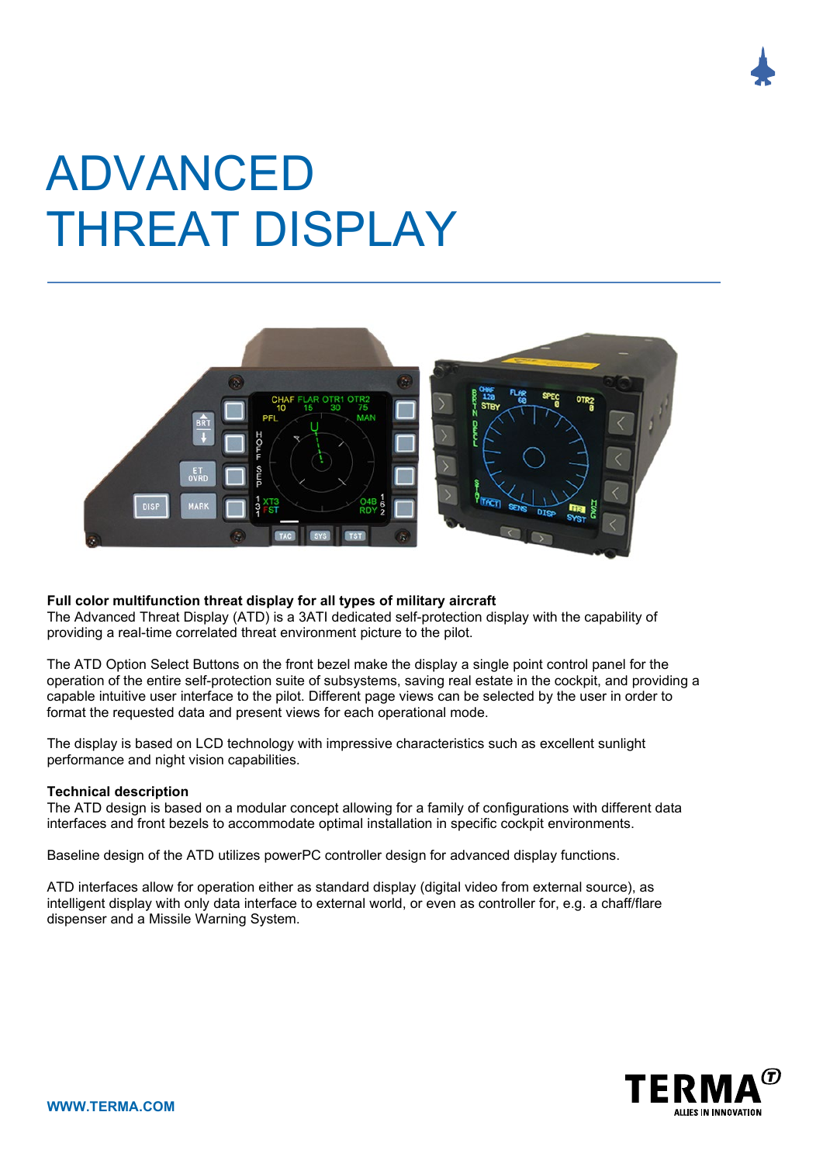

# ADVANCED THREAT DISPLAY



## **Full color multifunction threat display for all types of military aircraft**

The Advanced Threat Display (ATD) is a 3ATI dedicated self-protection display with the capability of providing a real-time correlated threat environment picture to the pilot.

The ATD Option Select Buttons on the front bezel make the display a single point control panel for the operation of the entire self-protection suite of subsystems, saving real estate in the cockpit, and providing a capable intuitive user interface to the pilot. Different page views can be selected by the user in order to format the requested data and present views for each operational mode.

The display is based on LCD technology with impressive characteristics such as excellent sunlight performance and night vision capabilities.

#### **Technical description**

The ATD design is based on a modular concept allowing for a family of configurations with different data interfaces and front bezels to accommodate optimal installation in specific cockpit environments.

Baseline design of the ATD utilizes powerPC controller design for advanced display functions.

ATD interfaces allow for operation either as standard display (digital video from external source), as intelligent display with only data interface to external world, or even as controller for, e.g. a chaff/flare dispenser and a Missile Warning System.